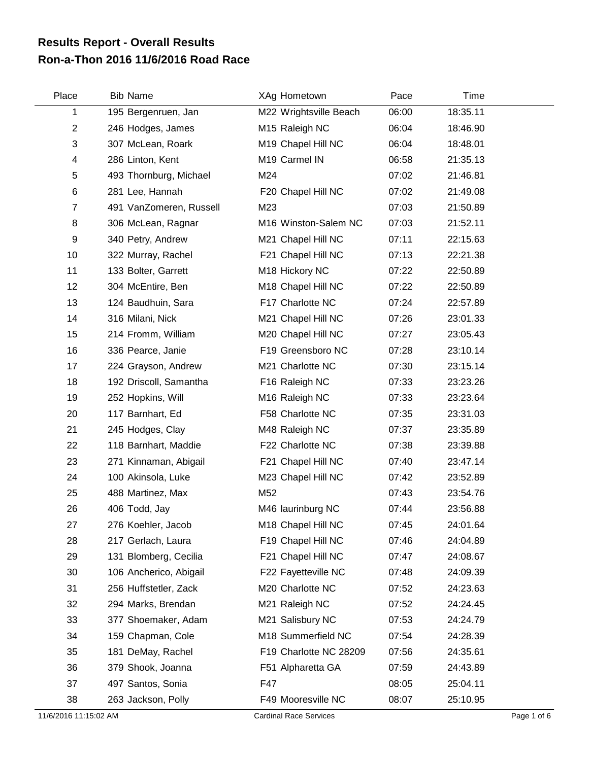## **Ron-a-Thon 2016 11/6/2016 Road Race Results Report - Overall Results**

| Place | <b>Bib Name</b>         | XAg Hometown               | Pace  | Time     |
|-------|-------------------------|----------------------------|-------|----------|
| 1     | 195 Bergenruen, Jan     | M22 Wrightsville Beach     | 06:00 | 18:35.11 |
| 2     | 246 Hodges, James       | M <sub>15</sub> Raleigh NC | 06:04 | 18:46.90 |
| 3     | 307 McLean, Roark       | M19 Chapel Hill NC         | 06:04 | 18:48.01 |
| 4     | 286 Linton, Kent        | M19 Carmel IN              | 06:58 | 21:35.13 |
| 5     | 493 Thornburg, Michael  | M24                        | 07:02 | 21:46.81 |
| 6     | 281 Lee, Hannah         | F20 Chapel Hill NC         | 07:02 | 21:49.08 |
| 7     | 491 VanZomeren, Russell | M23                        | 07:03 | 21:50.89 |
| 8     | 306 McLean, Ragnar      | M16 Winston-Salem NC       | 07:03 | 21:52.11 |
| 9     | 340 Petry, Andrew       | M21 Chapel Hill NC         | 07:11 | 22:15.63 |
| 10    | 322 Murray, Rachel      | F21 Chapel Hill NC         | 07:13 | 22:21.38 |
| 11    | 133 Bolter, Garrett     | M18 Hickory NC             | 07:22 | 22:50.89 |
| 12    | 304 McEntire, Ben       | M18 Chapel Hill NC         | 07:22 | 22:50.89 |
| 13    | 124 Baudhuin, Sara      | F17 Charlotte NC           | 07:24 | 22:57.89 |
| 14    | 316 Milani, Nick        | M21 Chapel Hill NC         | 07:26 | 23:01.33 |
| 15    | 214 Fromm, William      | M20 Chapel Hill NC         | 07:27 | 23:05.43 |
| 16    | 336 Pearce, Janie       | F19 Greensboro NC          | 07:28 | 23:10.14 |
| 17    | 224 Grayson, Andrew     | M21 Charlotte NC           | 07:30 | 23:15.14 |
| 18    | 192 Driscoll, Samantha  | F16 Raleigh NC             | 07:33 | 23:23.26 |
| 19    | 252 Hopkins, Will       | M16 Raleigh NC             | 07:33 | 23:23.64 |
| 20    | 117 Barnhart, Ed        | F58 Charlotte NC           | 07:35 | 23:31.03 |
| 21    | 245 Hodges, Clay        | M48 Raleigh NC             | 07:37 | 23:35.89 |
| 22    | 118 Barnhart, Maddie    | F22 Charlotte NC           | 07:38 | 23:39.88 |
| 23    | 271 Kinnaman, Abigail   | F21 Chapel Hill NC         | 07:40 | 23:47.14 |
| 24    | 100 Akinsola, Luke      | M23 Chapel Hill NC         | 07:42 | 23:52.89 |
| 25    | 488 Martinez, Max       | M52                        | 07:43 | 23:54.76 |
| 26    | 406 Todd, Jay           | M46 laurinburg NC          | 07:44 | 23:56.88 |
| 27    | 276 Koehler, Jacob      | M18 Chapel Hill NC         | 07:45 | 24:01.64 |
| 28    | 217 Gerlach, Laura      | F19 Chapel Hill NC         | 07:46 | 24:04.89 |
| 29    | 131 Blomberg, Cecilia   | F21 Chapel Hill NC         | 07:47 | 24:08.67 |
| 30    | 106 Ancherico, Abigail  | F22 Fayetteville NC        | 07:48 | 24:09.39 |
| 31    | 256 Huffstetler, Zack   | M20 Charlotte NC           | 07:52 | 24:23.63 |
| 32    | 294 Marks, Brendan      | M21 Raleigh NC             | 07:52 | 24:24.45 |
| 33    | 377 Shoemaker, Adam     | M21 Salisbury NC           | 07:53 | 24:24.79 |
| 34    | 159 Chapman, Cole       | M18 Summerfield NC         | 07:54 | 24:28.39 |
| 35    | 181 DeMay, Rachel       | F19 Charlotte NC 28209     | 07:56 | 24:35.61 |
| 36    | 379 Shook, Joanna       | F51 Alpharetta GA          | 07:59 | 24:43.89 |
| 37    | 497 Santos, Sonia       | F47                        | 08:05 | 25:04.11 |
| 38    | 263 Jackson, Polly      | F49 Mooresville NC         | 08:07 | 25:10.95 |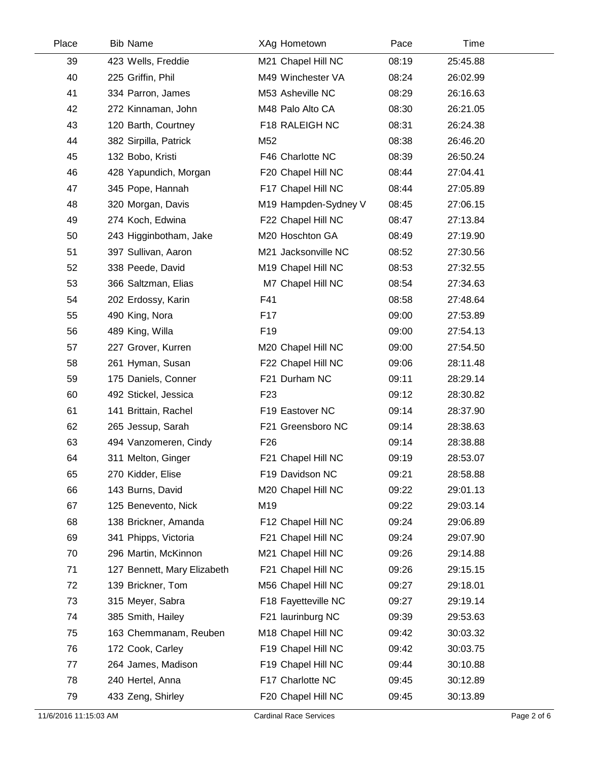| Place | <b>Bib Name</b>             | XAg Hometown         | Pace  | Time     |  |
|-------|-----------------------------|----------------------|-------|----------|--|
| 39    | 423 Wells, Freddie          | M21 Chapel Hill NC   | 08:19 | 25:45.88 |  |
| 40    | 225 Griffin, Phil           | M49 Winchester VA    | 08:24 | 26:02.99 |  |
| 41    | 334 Parron, James           | M53 Asheville NC     | 08:29 | 26:16.63 |  |
| 42    | 272 Kinnaman, John          | M48 Palo Alto CA     | 08:30 | 26:21.05 |  |
| 43    | 120 Barth, Courtney         | F18 RALEIGH NC       | 08:31 | 26:24.38 |  |
| 44    | 382 Sirpilla, Patrick       | M52                  | 08:38 | 26:46.20 |  |
| 45    | 132 Bobo, Kristi            | F46 Charlotte NC     | 08:39 | 26:50.24 |  |
| 46    | 428 Yapundich, Morgan       | F20 Chapel Hill NC   | 08:44 | 27:04.41 |  |
| 47    | 345 Pope, Hannah            | F17 Chapel Hill NC   | 08:44 | 27:05.89 |  |
| 48    | 320 Morgan, Davis           | M19 Hampden-Sydney V | 08:45 | 27:06.15 |  |
| 49    | 274 Koch, Edwina            | F22 Chapel Hill NC   | 08:47 | 27:13.84 |  |
| 50    | 243 Higginbotham, Jake      | M20 Hoschton GA      | 08:49 | 27:19.90 |  |
| 51    | 397 Sullivan, Aaron         | M21 Jacksonville NC  | 08:52 | 27:30.56 |  |
| 52    | 338 Peede, David            | M19 Chapel Hill NC   | 08:53 | 27:32.55 |  |
| 53    | 366 Saltzman, Elias         | M7 Chapel Hill NC    | 08:54 | 27:34.63 |  |
| 54    | 202 Erdossy, Karin          | F41                  | 08:58 | 27:48.64 |  |
| 55    | 490 King, Nora              | F <sub>17</sub>      | 09:00 | 27:53.89 |  |
| 56    | 489 King, Willa             | F <sub>19</sub>      | 09:00 | 27:54.13 |  |
| 57    | 227 Grover, Kurren          | M20 Chapel Hill NC   | 09:00 | 27:54.50 |  |
| 58    | 261 Hyman, Susan            | F22 Chapel Hill NC   | 09:06 | 28:11.48 |  |
| 59    | 175 Daniels, Conner         | F21 Durham NC        | 09:11 | 28:29.14 |  |
| 60    | 492 Stickel, Jessica        | F <sub>23</sub>      | 09:12 | 28:30.82 |  |
| 61    | 141 Brittain, Rachel        | F19 Eastover NC      | 09:14 | 28:37.90 |  |
| 62    | 265 Jessup, Sarah           | F21 Greensboro NC    | 09:14 | 28:38.63 |  |
| 63    | 494 Vanzomeren, Cindy       | F <sub>26</sub>      | 09:14 | 28:38.88 |  |
| 64    | 311 Melton, Ginger          | F21 Chapel Hill NC   | 09:19 | 28:53.07 |  |
| 65    | 270 Kidder, Elise           | F19 Davidson NC      | 09:21 | 28:58.88 |  |
| 66    | 143 Burns, David            | M20 Chapel Hill NC   | 09:22 | 29:01.13 |  |
| 67    | 125 Benevento, Nick         | M19                  | 09:22 | 29:03.14 |  |
| 68    | 138 Brickner, Amanda        | F12 Chapel Hill NC   | 09:24 | 29:06.89 |  |
| 69    | 341 Phipps, Victoria        | F21 Chapel Hill NC   | 09:24 | 29:07.90 |  |
| 70    | 296 Martin, McKinnon        | M21 Chapel Hill NC   | 09:26 | 29:14.88 |  |
| 71    | 127 Bennett, Mary Elizabeth | F21 Chapel Hill NC   | 09:26 | 29:15.15 |  |
| 72    | 139 Brickner, Tom           | M56 Chapel Hill NC   | 09:27 | 29:18.01 |  |
| 73    | 315 Meyer, Sabra            | F18 Fayetteville NC  | 09:27 | 29:19.14 |  |
| 74    | 385 Smith, Hailey           | F21 laurinburg NC    | 09:39 | 29:53.63 |  |
| 75    | 163 Chemmanam, Reuben       | M18 Chapel Hill NC   | 09:42 | 30:03.32 |  |
| 76    | 172 Cook, Carley            | F19 Chapel Hill NC   | 09:42 | 30:03.75 |  |
| 77    | 264 James, Madison          | F19 Chapel Hill NC   | 09:44 | 30:10.88 |  |
| 78    | 240 Hertel, Anna            | F17 Charlotte NC     | 09:45 | 30:12.89 |  |
| 79    | 433 Zeng, Shirley           | F20 Chapel Hill NC   | 09:45 | 30:13.89 |  |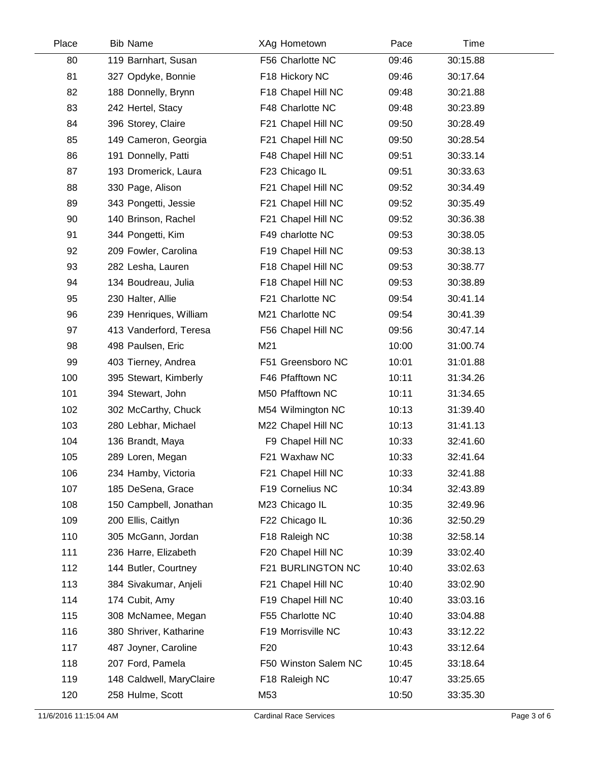| Place | <b>Bib Name</b>          | XAg Hometown         | Pace  | Time     |  |
|-------|--------------------------|----------------------|-------|----------|--|
| 80    | 119 Barnhart, Susan      | F56 Charlotte NC     | 09:46 | 30:15.88 |  |
| 81    | 327 Opdyke, Bonnie       | F18 Hickory NC       | 09:46 | 30:17.64 |  |
| 82    | 188 Donnelly, Brynn      | F18 Chapel Hill NC   | 09:48 | 30:21.88 |  |
| 83    | 242 Hertel, Stacy        | F48 Charlotte NC     | 09:48 | 30:23.89 |  |
| 84    | 396 Storey, Claire       | F21 Chapel Hill NC   | 09:50 | 30:28.49 |  |
| 85    | 149 Cameron, Georgia     | F21 Chapel Hill NC   | 09:50 | 30:28.54 |  |
| 86    | 191 Donnelly, Patti      | F48 Chapel Hill NC   | 09:51 | 30:33.14 |  |
| 87    | 193 Dromerick, Laura     | F23 Chicago IL       | 09:51 | 30:33.63 |  |
| 88    | 330 Page, Alison         | F21 Chapel Hill NC   | 09:52 | 30:34.49 |  |
| 89    | 343 Pongetti, Jessie     | F21 Chapel Hill NC   | 09:52 | 30:35.49 |  |
| 90    | 140 Brinson, Rachel      | F21 Chapel Hill NC   | 09:52 | 30:36.38 |  |
| 91    | 344 Pongetti, Kim        | F49 charlotte NC     | 09:53 | 30:38.05 |  |
| 92    | 209 Fowler, Carolina     | F19 Chapel Hill NC   | 09:53 | 30:38.13 |  |
| 93    | 282 Lesha, Lauren        | F18 Chapel Hill NC   | 09:53 | 30:38.77 |  |
| 94    | 134 Boudreau, Julia      | F18 Chapel Hill NC   | 09:53 | 30:38.89 |  |
| 95    | 230 Halter, Allie        | F21 Charlotte NC     | 09:54 | 30:41.14 |  |
| 96    | 239 Henriques, William   | M21 Charlotte NC     | 09:54 | 30:41.39 |  |
| 97    | 413 Vanderford, Teresa   | F56 Chapel Hill NC   | 09:56 | 30:47.14 |  |
| 98    | 498 Paulsen, Eric        | M21                  | 10:00 | 31:00.74 |  |
| 99    | 403 Tierney, Andrea      | F51 Greensboro NC    | 10:01 | 31:01.88 |  |
| 100   | 395 Stewart, Kimberly    | F46 Pfafftown NC     | 10:11 | 31:34.26 |  |
| 101   | 394 Stewart, John        | M50 Pfafftown NC     | 10:11 | 31:34.65 |  |
| 102   | 302 McCarthy, Chuck      | M54 Wilmington NC    | 10:13 | 31:39.40 |  |
| 103   | 280 Lebhar, Michael      | M22 Chapel Hill NC   | 10:13 | 31:41.13 |  |
| 104   | 136 Brandt, Maya         | F9 Chapel Hill NC    | 10:33 | 32:41.60 |  |
| 105   | 289 Loren, Megan         | F21 Waxhaw NC        | 10:33 | 32:41.64 |  |
| 106   | 234 Hamby, Victoria      | F21 Chapel Hill NC   | 10:33 | 32:41.88 |  |
| 107   | 185 DeSena, Grace        | F19 Cornelius NC     | 10:34 | 32:43.89 |  |
| 108   | 150 Campbell, Jonathan   | M23 Chicago IL       | 10:35 | 32:49.96 |  |
| 109   | 200 Ellis, Caitlyn       | F22 Chicago IL       | 10:36 | 32:50.29 |  |
| 110   | 305 McGann, Jordan       | F18 Raleigh NC       | 10:38 | 32:58.14 |  |
| 111   | 236 Harre, Elizabeth     | F20 Chapel Hill NC   | 10:39 | 33:02.40 |  |
| 112   | 144 Butler, Courtney     | F21 BURLINGTON NC    | 10:40 | 33:02.63 |  |
| 113   | 384 Sivakumar, Anjeli    | F21 Chapel Hill NC   | 10:40 | 33:02.90 |  |
| 114   | 174 Cubit, Amy           | F19 Chapel Hill NC   | 10:40 | 33:03.16 |  |
| 115   | 308 McNamee, Megan       | F55 Charlotte NC     | 10:40 | 33:04.88 |  |
| 116   | 380 Shriver, Katharine   | F19 Morrisville NC   | 10:43 | 33:12.22 |  |
| 117   | 487 Joyner, Caroline     | F <sub>20</sub>      | 10:43 | 33:12.64 |  |
| 118   | 207 Ford, Pamela         | F50 Winston Salem NC | 10:45 | 33:18.64 |  |
| 119   | 148 Caldwell, MaryClaire | F18 Raleigh NC       | 10:47 | 33:25.65 |  |
| 120   | 258 Hulme, Scott         | M53                  | 10:50 | 33:35.30 |  |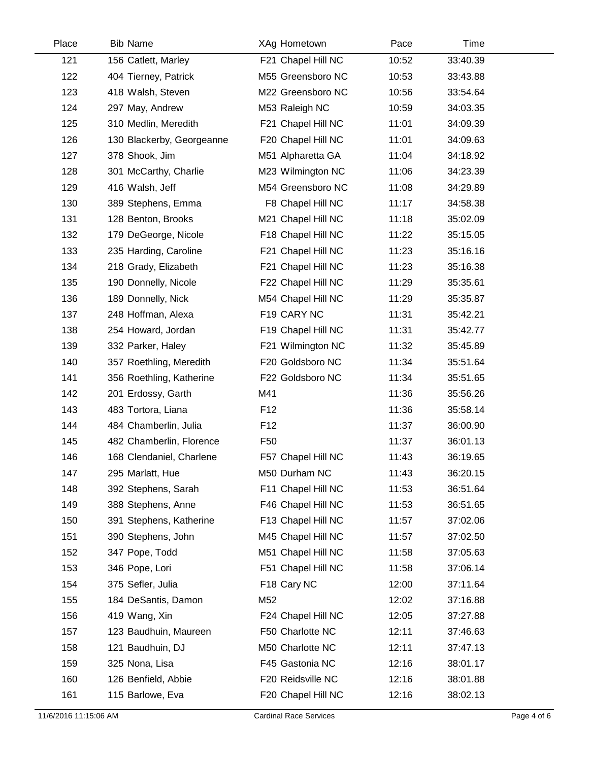| Place | <b>Bib Name</b>           | XAg Hometown       | Pace  | Time     |  |
|-------|---------------------------|--------------------|-------|----------|--|
| 121   | 156 Catlett, Marley       | F21 Chapel Hill NC | 10:52 | 33:40.39 |  |
| 122   | 404 Tierney, Patrick      | M55 Greensboro NC  | 10:53 | 33:43.88 |  |
| 123   | 418 Walsh, Steven         | M22 Greensboro NC  | 10:56 | 33:54.64 |  |
| 124   | 297 May, Andrew           | M53 Raleigh NC     | 10:59 | 34:03.35 |  |
| 125   | 310 Medlin, Meredith      | F21 Chapel Hill NC | 11:01 | 34:09.39 |  |
| 126   | 130 Blackerby, Georgeanne | F20 Chapel Hill NC | 11:01 | 34:09.63 |  |
| 127   | 378 Shook, Jim            | M51 Alpharetta GA  | 11:04 | 34:18.92 |  |
| 128   | 301 McCarthy, Charlie     | M23 Wilmington NC  | 11:06 | 34:23.39 |  |
| 129   | 416 Walsh, Jeff           | M54 Greensboro NC  | 11:08 | 34:29.89 |  |
| 130   | 389 Stephens, Emma        | F8 Chapel Hill NC  | 11:17 | 34:58.38 |  |
| 131   | 128 Benton, Brooks        | M21 Chapel Hill NC | 11:18 | 35:02.09 |  |
| 132   | 179 DeGeorge, Nicole      | F18 Chapel Hill NC | 11:22 | 35:15.05 |  |
| 133   | 235 Harding, Caroline     | F21 Chapel Hill NC | 11:23 | 35:16.16 |  |
| 134   | 218 Grady, Elizabeth      | F21 Chapel Hill NC | 11:23 | 35:16.38 |  |
| 135   | 190 Donnelly, Nicole      | F22 Chapel Hill NC | 11:29 | 35:35.61 |  |
| 136   | 189 Donnelly, Nick        | M54 Chapel Hill NC | 11:29 | 35:35.87 |  |
| 137   | 248 Hoffman, Alexa        | F19 CARY NC        | 11:31 | 35:42.21 |  |
| 138   | 254 Howard, Jordan        | F19 Chapel Hill NC | 11:31 | 35:42.77 |  |
| 139   | 332 Parker, Haley         | F21 Wilmington NC  | 11:32 | 35:45.89 |  |
| 140   | 357 Roethling, Meredith   | F20 Goldsboro NC   | 11:34 | 35:51.64 |  |
| 141   | 356 Roethling, Katherine  | F22 Goldsboro NC   | 11:34 | 35:51.65 |  |
| 142   | 201 Erdossy, Garth        | M41                | 11:36 | 35:56.26 |  |
| 143   | 483 Tortora, Liana        | F <sub>12</sub>    | 11:36 | 35:58.14 |  |
| 144   | 484 Chamberlin, Julia     | F <sub>12</sub>    | 11:37 | 36:00.90 |  |
| 145   | 482 Chamberlin, Florence  | F <sub>50</sub>    | 11:37 | 36:01.13 |  |
| 146   | 168 Clendaniel, Charlene  | F57 Chapel Hill NC | 11:43 | 36:19.65 |  |
| 147   | 295 Marlatt, Hue          | M50 Durham NC      | 11:43 | 36:20.15 |  |
| 148   | 392 Stephens, Sarah       | F11 Chapel Hill NC | 11:53 | 36:51.64 |  |
| 149   | 388 Stephens, Anne        | F46 Chapel Hill NC | 11:53 | 36:51.65 |  |
| 150   | 391 Stephens, Katherine   | F13 Chapel Hill NC | 11:57 | 37:02.06 |  |
| 151   | 390 Stephens, John        | M45 Chapel Hill NC | 11:57 | 37:02.50 |  |
| 152   | 347 Pope, Todd            | M51 Chapel Hill NC | 11:58 | 37:05.63 |  |
| 153   | 346 Pope, Lori            | F51 Chapel Hill NC | 11:58 | 37:06.14 |  |
| 154   | 375 Sefler, Julia         | F18 Cary NC        | 12:00 | 37:11.64 |  |
| 155   | 184 DeSantis, Damon       | M52                | 12:02 | 37:16.88 |  |
| 156   | 419 Wang, Xin             | F24 Chapel Hill NC | 12:05 | 37:27.88 |  |
| 157   | 123 Baudhuin, Maureen     | F50 Charlotte NC   | 12:11 | 37:46.63 |  |
| 158   | 121 Baudhuin, DJ          | M50 Charlotte NC   | 12:11 | 37:47.13 |  |
| 159   | 325 Nona, Lisa            | F45 Gastonia NC    | 12:16 | 38:01.17 |  |
| 160   | 126 Benfield, Abbie       | F20 Reidsville NC  | 12:16 | 38:01.88 |  |
| 161   | 115 Barlowe, Eva          | F20 Chapel Hill NC | 12:16 | 38:02.13 |  |